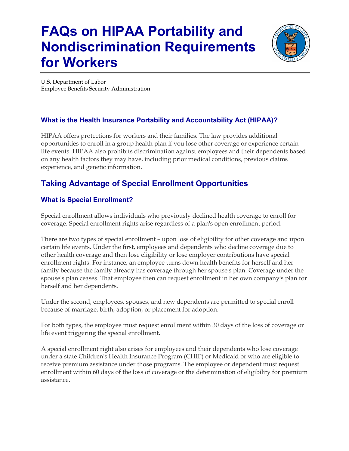# **FAQs on HIPAA Portability and Nondiscrimination Requirements for Workers**



U.S. Department of Labor Employee Benefits Security Administration

# **What is the Health Insurance Portability and Accountability Act (HIPAA)?**

HIPAA offers protections for workers and their families. The law provides additional opportunities to enroll in a group health plan if you lose other coverage or experience certain life events. HIPAA also prohibits discrimination against employees and their dependents based on any health factors they may have, including prior medical conditions, previous claims experience, and genetic information.

# **Taking Advantage of Special Enrollment Opportunities**

# **What is Special Enrollment?**

Special enrollment allows individuals who previously declined health coverage to enroll for coverage. Special enrollment rights arise regardless of a plan's open enrollment period.

There are two types of special enrollment – upon loss of eligibility for other coverage and upon certain life events. Under the first, employees and dependents who decline coverage due to other health coverage and then lose eligibility or lose employer contributions have special enrollment rights. For instance, an employee turns down health benefits for herself and her family because the family already has coverage through her spouse's plan. Coverage under the spouse's plan ceases. That employee then can request enrollment in her own company's plan for herself and her dependents.

Under the second, employees, spouses, and new dependents are permitted to special enroll because of marriage, birth, adoption, or placement for adoption.

For both types, the employee must request enrollment within 30 days of the loss of coverage or life event triggering the special enrollment.

A special enrollment right also arises for employees and their dependents who lose coverage under a state Children's Health Insurance Program (CHIP) or Medicaid or who are eligible to receive premium assistance under those programs. The employee or dependent must request enrollment within 60 days of the loss of coverage or the determination of eligibility for premium assistance.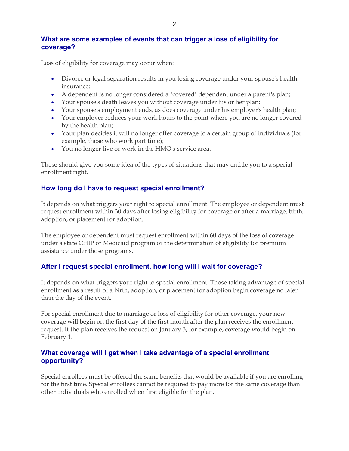#### **What are some examples of events that can trigger a loss of eligibility for coverage?**

Loss of eligibility for coverage may occur when:

- Divorce or legal separation results in you losing coverage under your spouse's health insurance;
- A dependent is no longer considered a "covered" dependent under a parent's plan;
- Your spouse's death leaves you without coverage under his or her plan;
- Your spouse's employment ends, as does coverage under his employer's health plan;
- Your employer reduces your work hours to the point where you are no longer covered by the health plan;
- Your plan decides it will no longer offer coverage to a certain group of individuals (for example, those who work part time);
- You no longer live or work in the HMO's service area.

These should give you some idea of the types of situations that may entitle you to a special enrollment right.

# **How long do I have to request special enrollment?**

It depends on what triggers your right to special enrollment. The employee or dependent must request enrollment within 30 days after losing eligibility for coverage or after a marriage, birth, adoption, or placement for adoption.

The employee or dependent must request enrollment within 60 days of the loss of coverage under a state CHIP or Medicaid program or the determination of eligibility for premium assistance under those programs.

# **After I request special enrollment, how long will I wait for coverage?**

It depends on what triggers your right to special enrollment. Those taking advantage of special enrollment as a result of a birth, adoption, or placement for adoption begin coverage no later than the day of the event.

For special enrollment due to marriage or loss of eligibility for other coverage, your new coverage will begin on the first day of the first month after the plan receives the enrollment request. If the plan receives the request on January 3, for example, coverage would begin on February 1.

#### **What coverage will I get when I take advantage of a special enrollment opportunity?**

Special enrollees must be offered the same benefits that would be available if you are enrolling for the first time. Special enrollees cannot be required to pay more for the same coverage than other individuals who enrolled when first eligible for the plan.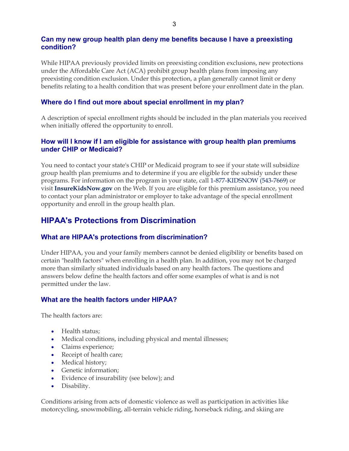#### **Can my new group health plan deny me benefits because I have a preexisting condition?**

While HIPAA previously provided limits on preexisting condition exclusions, new protections under the Affordable Care Act (ACA) prohibit group health plans from imposing any preexisting condition exclusion. Under this protection, a plan generally cannot limit or deny benefits relating to a health condition that was present before your enrollment date in the plan.

#### **Where do I find out more about special enrollment in my plan?**

A description of special enrollment rights should be included in the plan materials you received when initially offered the opportunity to enroll.

#### **How will I know if I am eligible for assistance with group health plan premiums under CHIP or Medicaid?**

You need to contact your state's CHIP or Medicaid program to see if your state will subsidize group health plan premiums and to determine if you are eligible for the subsidy under these programs. For information on the program in your state, call 1-877-KIDSNOW (543-7669) or visit **[InsureKidsNow.gov](http://www.insurekidsnow.gov/)** on the Web. If you are eligible for this premium assistance, you need to contact your plan administrator or employer to take advantage of the special enrollment opportunity and enroll in the group health plan.

# **HIPAA's Protections from Discrimination**

## **What are HIPAA's protections from discrimination?**

Under HIPAA, you and your family members cannot be denied eligibility or benefits based on certain "health factors" when enrolling in a health plan. In addition, you may not be charged more than similarly situated individuals based on any health factors. The questions and answers below define the health factors and offer some examples of what is and is not permitted under the law.

#### **What are the health factors under HIPAA?**

The health factors are:

- Health status:
- Medical conditions, including physical and mental illnesses;
- Claims experience;
- Receipt of health care;
- Medical history;
- Genetic information;
- Evidence of insurability (see below); and
- Disability.

Conditions arising from acts of domestic violence as well as participation in activities like motorcycling, snowmobiling, all-terrain vehicle riding, horseback riding, and skiing are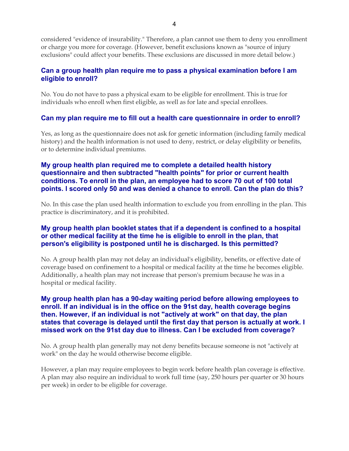considered "evidence of insurability." Therefore, a plan cannot use them to deny you enrollment or charge you more for coverage. (However, benefit exclusions known as "source of injury exclusions" could affect your benefits. These exclusions are discussed in more detail below.)

#### **Can a group health plan require me to pass a physical examination before I am eligible to enroll?**

No. You do not have to pass a physical exam to be eligible for enrollment. This is true for individuals who enroll when first eligible, as well as for late and special enrollees.

#### **Can my plan require me to fill out a health care questionnaire in order to enroll?**

Yes, as long as the questionnaire does not ask for genetic information (including family medical history) and the health information is not used to deny, restrict, or delay eligibility or benefits, or to determine individual premiums.

#### **My group health plan required me to complete a detailed health history questionnaire and then subtracted "health points" for prior or current health conditions. To enroll in the plan, an employee had to score 70 out of 100 total points. I scored only 50 and was denied a chance to enroll. Can the plan do this?**

No. In this case the plan used health information to exclude you from enrolling in the plan. This practice is discriminatory, and it is prohibited.

#### **My group health plan booklet states that if a dependent is confined to a hospital or other medical facility at the time he is eligible to enroll in the plan, that person's eligibility is postponed until he is discharged. Is this permitted?**

No. A group health plan may not delay an individual's eligibility, benefits, or effective date of coverage based on confinement to a hospital or medical facility at the time he becomes eligible. Additionally, a health plan may not increase that person's premium because he was in a hospital or medical facility.

#### **My group health plan has a 90-day waiting period before allowing employees to enroll. If an individual is in the office on the 91st day, health coverage begins then. However, if an individual is not "actively at work" on that day, the plan states that coverage is delayed until the first day that person is actually at work. I missed work on the 91st day due to illness. Can I be excluded from coverage?**

No. A group health plan generally may not deny benefits because someone is not "actively at work" on the day he would otherwise become eligible.

However, a plan may require employees to begin work before health plan coverage is effective. A plan may also require an individual to work full time (say, 250 hours per quarter or 30 hours per week) in order to be eligible for coverage.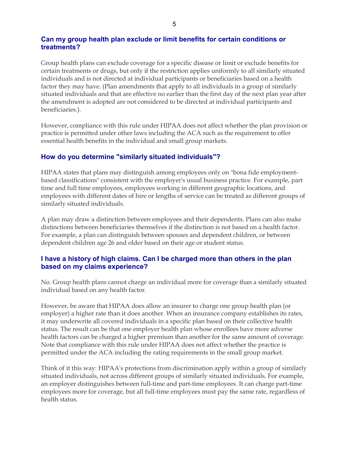#### **Can my group health plan exclude or limit benefits for certain conditions or treatments?**

Group health plans can exclude coverage for a specific disease or limit or exclude benefits for certain treatments or drugs, but only if the restriction applies uniformly to all similarly situated individuals and is not directed at individual participants or beneficiaries based on a health factor they may have. (Plan amendments that apply to all individuals in a group of similarly situated individuals and that are effective no earlier than the first day of the next plan year after the amendment is adopted are not considered to be directed at individual participants and beneficiaries.).

However, compliance with this rule under HIPAA does not affect whether the plan provision or practice is permitted under other laws including the ACA such as the requirement to offer essential health benefits in the individual and small group markets.

#### **How do you determine "similarly situated individuals"?**

HIPAA states that plans may distinguish among employees only on "bona fide employmentbased classifications" consistent with the employer's usual business practice. For example, part time and full time employees, employees working in different geographic locations, and employees with different dates of hire or lengths of service can be treated as different groups of similarly situated individuals.

A plan may draw a distinction between employees and their dependents. Plans can also make distinctions between beneficiaries themselves if the distinction is not based on a health factor. For example, a plan can distinguish between spouses and dependent children, or between dependent children age 26 and older based on their age or student status.

#### **I have a history of high claims. Can I be charged more than others in the plan based on my claims experience?**

No. Group health plans cannot charge an individual more for coverage than a similarly situated individual based on any health factor.

However, be aware that HIPAA does allow an insurer to charge one group health plan (or employer) a higher rate than it does another. When an insurance company establishes its rates, it may underwrite all covered individuals in a specific plan based on their collective health status. The result can be that one employer health plan whose enrollees have more adverse health factors can be charged a higher premium than another for the same amount of coverage. Note that compliance with this rule under HIPAA does not affect whether the practice is permitted under the ACA including the rating requirements in the small group market.

Think of it this way: HIPAA's protections from discrimination apply within a group of similarly situated individuals, not across different groups of similarly situated individuals. For example, an employer distinguishes between full-time and part-time employees. It can charge part-time employees more for coverage, but all full-time employees must pay the same rate, regardless of health status.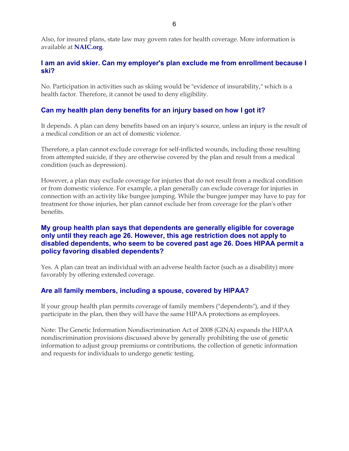Also, for insured plans, state law may govern rates for health coverage. More information is available at **[NAIC.org](http://naic.org/)**.

#### **I am an avid skier. Can my employer's plan exclude me from enrollment because I ski?**

No. Participation in activities such as skiing would be "evidence of insurability," which is a health factor. Therefore, it cannot be used to deny eligibility.

### **Can my health plan deny benefits for an injury based on how I got it?**

It depends. A plan can deny benefits based on an injury's source, unless an injury is the result of a medical condition or an act of domestic violence.

Therefore, a plan cannot exclude coverage for self-inflicted wounds, including those resulting from attempted suicide, if they are otherwise covered by the plan and result from a medical condition (such as depression).

However, a plan may exclude coverage for injuries that do not result from a medical condition or from domestic violence. For example, a plan generally can exclude coverage for injuries in connection with an activity like bungee jumping. While the bungee jumper may have to pay for treatment for those injuries, her plan cannot exclude her from coverage for the plan's other benefits.

#### **My group health plan says that dependents are generally eligible for coverage only until they reach age 26. However, this age restriction does not apply to disabled dependents, who seem to be covered past age 26. Does HIPAA permit a policy favoring disabled dependents?**

Yes. A plan can treat an individual with an adverse health factor (such as a disability) more favorably by offering extended coverage.

#### **Are all family members, including a spouse, covered by HIPAA?**

If your group health plan permits coverage of family members ("dependents"), and if they participate in the plan, then they will have the same HIPAA protections as employees.

Note: The Genetic Information Nondiscrimination Act of 2008 (GINA) expands the HIPAA nondiscrimination provisions discussed above by generally prohibiting the use of genetic information to adjust group premiums or contributions, the collection of genetic information and requests for individuals to undergo genetic testing.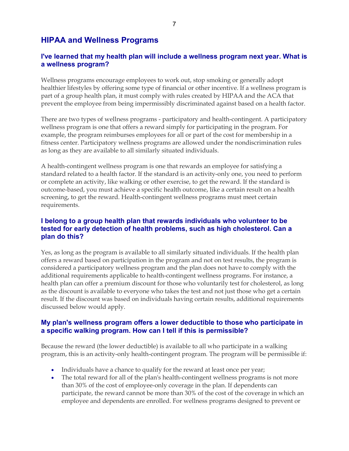# **HIPAA and Wellness Programs**

#### **I've learned that my health plan will include a wellness program next year. What is a wellness program?**

Wellness programs encourage employees to work out, stop smoking or generally adopt healthier lifestyles by offering some type of financial or other incentive. If a wellness program is part of a group health plan, it must comply with rules created by HIPAA and the ACA that prevent the employee from being impermissibly discriminated against based on a health factor.

There are two types of wellness programs - participatory and health-contingent. A participatory wellness program is one that offers a reward simply for participating in the program. For example, the program reimburses employees for all or part of the cost for membership in a fitness center. Participatory wellness programs are allowed under the nondiscrimination rules as long as they are available to all similarly situated individuals.

A health-contingent wellness program is one that rewards an employee for satisfying a standard related to a health factor. If the standard is an activity-only one, you need to perform or complete an activity, like walking or other exercise, to get the reward. If the standard is outcome-based, you must achieve a specific health outcome, like a certain result on a health screening, to get the reward. Health-contingent wellness programs must meet certain requirements.

#### **I belong to a group health plan that rewards individuals who volunteer to be tested for early detection of health problems, such as high cholesterol. Can a plan do this?**

Yes, as long as the program is available to all similarly situated individuals. If the health plan offers a reward based on participation in the program and not on test results, the program is considered a participatory wellness program and the plan does not have to comply with the additional requirements applicable to health-contingent wellness programs. For instance, a health plan can offer a premium discount for those who voluntarily test for cholesterol, as long as the discount is available to everyone who takes the test and not just those who get a certain result. If the discount was based on individuals having certain results, additional requirements discussed below would apply.

#### **My plan's wellness program offers a lower deductible to those who participate in a specific walking program. How can I tell if this is permissible?**

Because the reward (the lower deductible) is available to all who participate in a walking program, this is an activity-only health-contingent program. The program will be permissible if:

- Individuals have a chance to qualify for the reward at least once per year;
- The total reward for all of the plan's health-contingent wellness programs is not more than 30% of the cost of employee-only coverage in the plan. If dependents can participate, the reward cannot be more than 30% of the cost of the coverage in which an employee and dependents are enrolled. For wellness programs designed to prevent or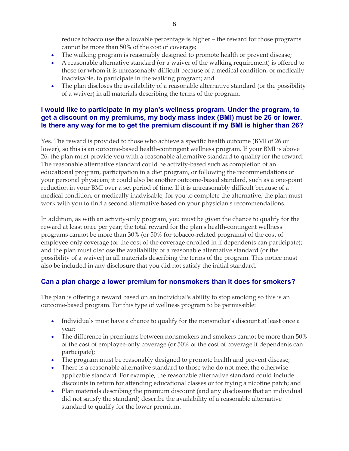reduce tobacco use the allowable percentage is higher – the reward for those programs cannot be more than 50% of the cost of coverage;

- The walking program is reasonably designed to promote health or prevent disease;
- A reasonable alternative standard (or a waiver of the walking requirement) is offered to those for whom it is unreasonably difficult because of a medical condition, or medically inadvisable, to participate in the walking program; and
- The plan discloses the availability of a reasonable alternative standard (or the possibility of a waiver) in all materials describing the terms of the program.

#### **I would like to participate in my plan's wellness program. Under the program, to get a discount on my premiums, my body mass index (BMI) must be 26 or lower. Is there any way for me to get the premium discount if my BMI is higher than 26?**

Yes. The reward is provided to those who achieve a specific health outcome (BMI of 26 or lower), so this is an outcome-based health-contingent wellness program. If your BMI is above 26, the plan must provide you with a reasonable alternative standard to qualify for the reward. The reasonable alternative standard could be activity-based such as completion of an educational program, participation in a diet program, or following the recommendations of your personal physician; it could also be another outcome-based standard, such as a one-point reduction in your BMI over a set period of time. If it is unreasonably difficult because of a medical condition, or medically inadvisable, for you to complete the alternative, the plan must work with you to find a second alternative based on your physician's recommendations.

In addition, as with an activity-only program, you must be given the chance to qualify for the reward at least once per year; the total reward for the plan's health-contingent wellness programs cannot be more than 30% (or 50% for tobacco-related programs) of the cost of employee-only coverage (or the cost of the coverage enrolled in if dependents can participate); and the plan must disclose the availability of a reasonable alternative standard (or the possibility of a waiver) in all materials describing the terms of the program. This notice must also be included in any disclosure that you did not satisfy the initial standard.

## **Can a plan charge a lower premium for nonsmokers than it does for smokers?**

The plan is offering a reward based on an individual's ability to stop smoking so this is an outcome-based program. For this type of wellness program to be permissible:

- Individuals must have a chance to qualify for the nonsmoker's discount at least once a year;
- The difference in premiums between nonsmokers and smokers cannot be more than 50% of the cost of employee-only coverage (or 50% of the cost of coverage if dependents can participate);
- The program must be reasonably designed to promote health and prevent disease;
- There is a reasonable alternative standard to those who do not meet the otherwise applicable standard. For example, the reasonable alternative standard could include discounts in return for attending educational classes or for trying a nicotine patch; and
- Plan materials describing the premium discount (and any disclosure that an individual did not satisfy the standard) describe the availability of a reasonable alternative standard to qualify for the lower premium.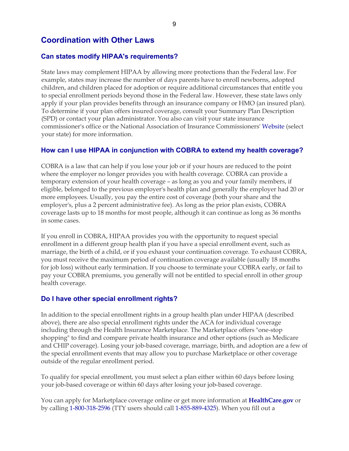# **Coordination with Other Laws**

#### **Can states modify HIPAA's requirements?**

State laws may complement HIPAA by allowing more protections than the Federal law. For example, states may increase the number of days parents have to enroll newborns, adopted children, and children placed for adoption or require additional circumstances that entitle you to special enrollment periods beyond those in the Federal law. However, these state laws only apply if your plan provides benefits through an insurance company or HMO (an insured plan). To determine if your plan offers insured coverage, consult your Summary Plan Description (SPD) or contact your plan administrator. You also can visit your state insurance commissioner's office or the National Association of Insurance Commissioners' [Website](http://naic.org/state_web_map.htm) (select your state) for more information.

#### **How can I use HIPAA in conjunction with COBRA to extend my health coverage?**

COBRA is a law that can help if you lose your job or if your hours are reduced to the point where the employer no longer provides you with health coverage. COBRA can provide a temporary extension of your health coverage – as long as you and your family members, if eligible, belonged to the previous employer's health plan and generally the employer had 20 or more employees. Usually, you pay the entire cost of coverage (both your share and the employer's, plus a 2 percent administrative fee). As long as the prior plan exists, COBRA coverage lasts up to 18 months for most people, although it can continue as long as 36 months in some cases.

If you enroll in COBRA, HIPAA provides you with the opportunity to request special enrollment in a different group health plan if you have a special enrollment event, such as marriage, the birth of a child, or if you exhaust your continuation coverage. To exhaust COBRA, you must receive the maximum period of continuation coverage available (usually 18 months for job loss) without early termination. If you choose to terminate your COBRA early, or fail to pay your COBRA premiums, you generally will not be entitled to special enroll in other group health coverage.

#### **Do I have other special enrollment rights?**

In addition to the special enrollment rights in a group health plan under HIPAA (described above), there are also special enrollment rights under the ACA for individual coverage including through the Health Insurance Marketplace. The Marketplace offers "one-stop shopping" to find and compare private health insurance and other options (such as Medicare and CHIP coverage). Losing your job-based coverage, marriage, birth, and adoption are a few of the special enrollment events that may allow you to purchase Marketplace or other coverage outside of the regular enrollment period.

To qualify for special enrollment, you must select a plan either within 60 days before losing your job-based coverage or within 60 days after losing your job-based coverage.

You can apply for Marketplace coverage online or get more information at **[HealthCare.gov](https://www.healthcare.gov/)** or by calling 1-800-318-2596 (TTY users should call 1-855-889-4325). When you fill out a